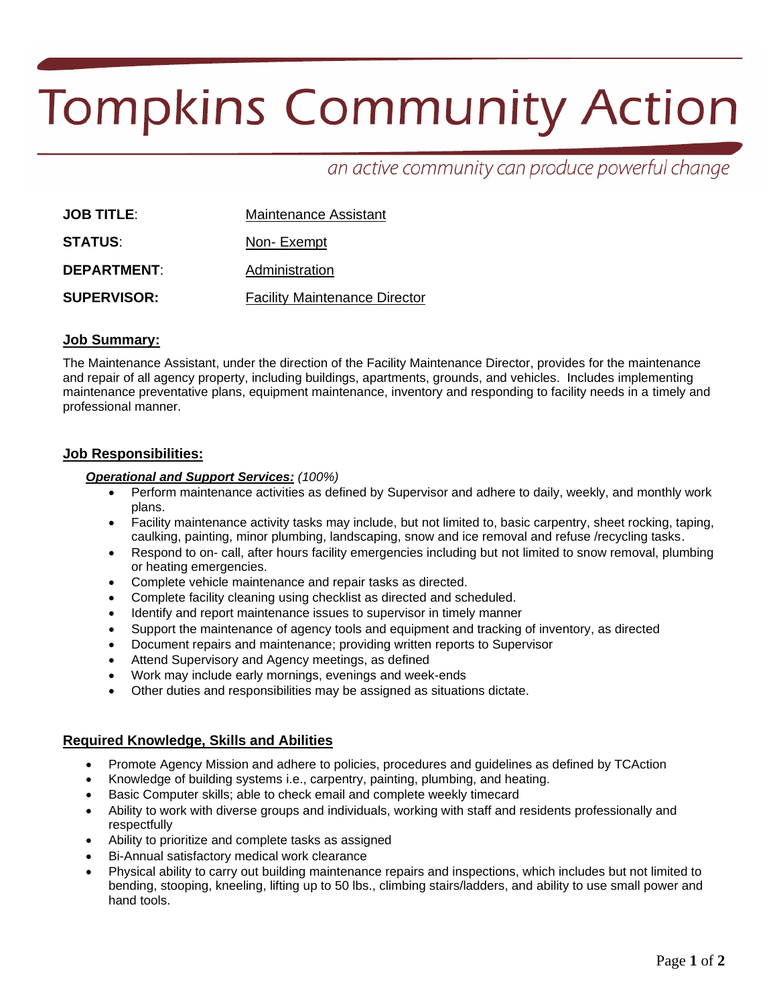# **Tompkins Community Action**

# an active community can produce powerful change

| <b>JOB TITLE:</b>  | Maintenance Assistant                |  |
|--------------------|--------------------------------------|--|
| <b>STATUS:</b>     | Non-Exempt                           |  |
| <b>DEPARTMENT:</b> | Administration                       |  |
| <b>SUPERVISOR:</b> | <b>Facility Maintenance Director</b> |  |

### **Job Summary:**

The Maintenance Assistant, under the direction of the Facility Maintenance Director, provides for the maintenance and repair of all agency property, including buildings, apartments, grounds, and vehicles. Includes implementing maintenance preventative plans, equipment maintenance, inventory and responding to facility needs in a timely and professional manner.

#### **Job Responsibilities:**

#### *Operational and Support Services: (100%)*

- Perform maintenance activities as defined by Supervisor and adhere to daily, weekly, and monthly work plans.
- Facility maintenance activity tasks may include, but not limited to, basic carpentry, sheet rocking, taping, caulking, painting, minor plumbing, landscaping, snow and ice removal and refuse /recycling tasks.
- Respond to on- call, after hours facility emergencies including but not limited to snow removal, plumbing or heating emergencies.
- Complete vehicle maintenance and repair tasks as directed.
- Complete facility cleaning using checklist as directed and scheduled.
- Identify and report maintenance issues to supervisor in timely manner
- Support the maintenance of agency tools and equipment and tracking of inventory, as directed
- Document repairs and maintenance; providing written reports to Supervisor
- Attend Supervisory and Agency meetings, as defined
- Work may include early mornings, evenings and week-ends
- Other duties and responsibilities may be assigned as situations dictate.

#### **Required Knowledge, Skills and Abilities**

- Promote Agency Mission and adhere to policies, procedures and guidelines as defined by TCAction
- Knowledge of building systems i.e., carpentry, painting, plumbing, and heating.
- Basic Computer skills; able to check email and complete weekly timecard
- Ability to work with diverse groups and individuals, working with staff and residents professionally and respectfully
- Ability to prioritize and complete tasks as assigned
- Bi-Annual satisfactory medical work clearance
- Physical ability to carry out building maintenance repairs and inspections, which includes but not limited to bending, stooping, kneeling, lifting up to 50 lbs., climbing stairs/ladders, and ability to use small power and hand tools.